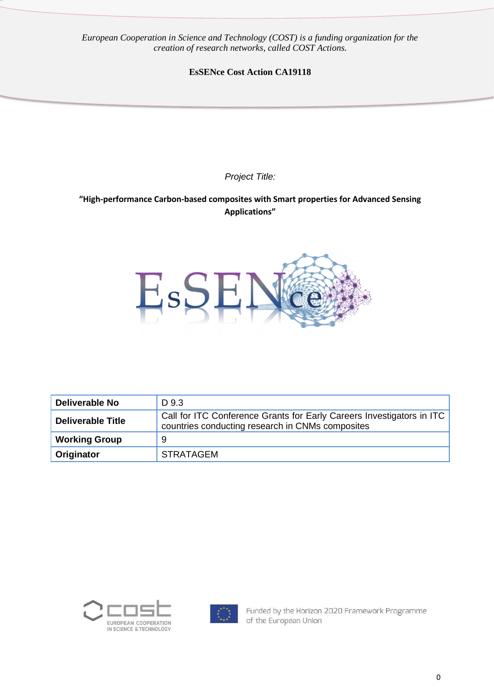*European Cooperation in Science and Technology (COST) is a funding organization for the creation of research networks, called COST Actions.*

**EsSENce Cost Action CA19118**

*Project Title:*

**"High-performance Carbon-based composites with Smart properties for Advanced Sensing Applications"**



| <b>Deliverable No</b>    | D 9.3                                                                                                                     |
|--------------------------|---------------------------------------------------------------------------------------------------------------------------|
| <b>Deliverable Title</b> | Call for ITC Conference Grants for Early Careers Investigators in ITC<br>countries conducting research in CNMs composites |
| <b>Working Group</b>     | 9                                                                                                                         |
| Originator               | <b>STRATAGEM</b>                                                                                                          |





Funded by the Horizon 2020 Framework Programme of the European Union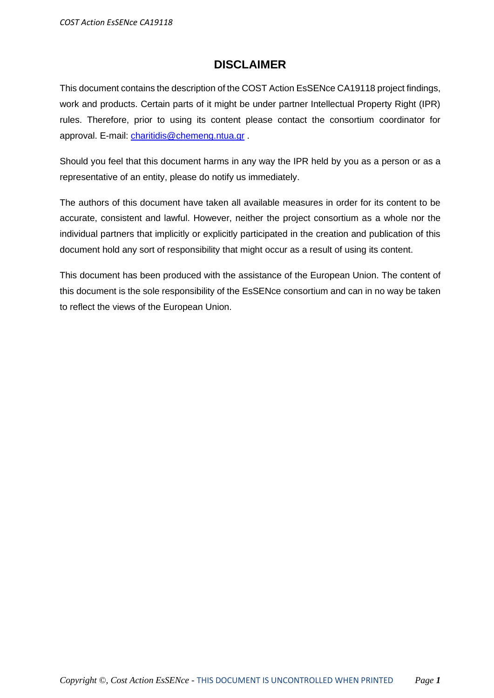#### **DISCLAIMER**

This document contains the description of the COST Action EsSENce CA19118 project findings, work and products. Certain parts of it might be under partner Intellectual Property Right (IPR) rules. Therefore, prior to using its content please contact the consortium coordinator for approval. E-mail: [charitidis@chemeng.ntua.gr](mailto:charitidis@chemeng.ntua.gr) .

Should you feel that this document harms in any way the IPR held by you as a person or as a representative of an entity, please do notify us immediately.

The authors of this document have taken all available measures in order for its content to be accurate, consistent and lawful. However, neither the project consortium as a whole nor the individual partners that implicitly or explicitly participated in the creation and publication of this document hold any sort of responsibility that might occur as a result of using its content.

This document has been produced with the assistance of the European Union. The content of this document is the sole responsibility of the EsSENce consortium and can in no way be taken to reflect the views of the European Union.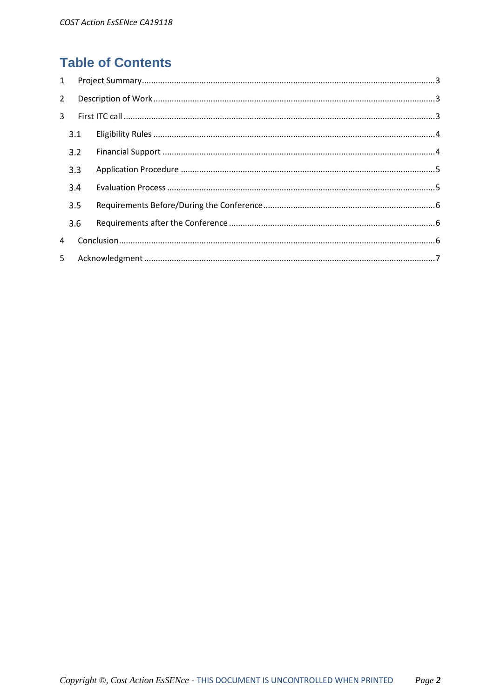# **Table of Contents**

| $\mathbf{1}$ |     |  |  |
|--------------|-----|--|--|
| $2^{\circ}$  |     |  |  |
| 3            |     |  |  |
|              | 3.1 |  |  |
|              | 3.2 |  |  |
|              | 3.3 |  |  |
|              | 3.4 |  |  |
|              | 3.5 |  |  |
|              | 3.6 |  |  |
| 4            |     |  |  |
| 5            |     |  |  |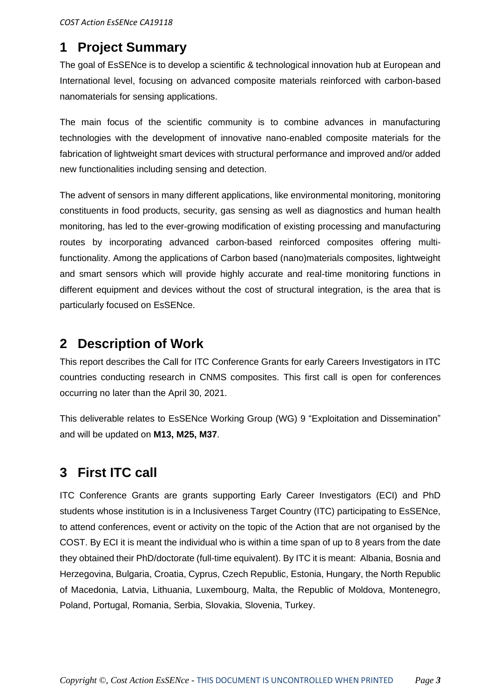## <span id="page-3-0"></span>**1 Project Summary**

The goal of EsSENce is to develop a scientific & technological innovation hub at European and International level, focusing on advanced composite materials reinforced with carbon-based nanomaterials for sensing applications.

The main focus of the scientific community is to combine advances in manufacturing technologies with the development of innovative nano-enabled composite materials for the fabrication of lightweight smart devices with structural performance and improved and/or added new functionalities including sensing and detection.

The advent of sensors in many different applications, like environmental monitoring, monitoring constituents in food products, security, gas sensing as well as diagnostics and human health monitoring, has led to the ever-growing modification of existing processing and manufacturing routes by incorporating advanced carbon-based reinforced composites offering multifunctionality. Among the applications of Carbon based (nano)materials composites, lightweight and smart sensors which will provide highly accurate and real-time monitoring functions in different equipment and devices without the cost of structural integration, is the area that is particularly focused on EsSENce.

## <span id="page-3-1"></span>**2 Description of Work**

This report describes the Call for ITC Conference Grants for early Careers Investigators in ITC countries conducting research in CNMS composites. This first call is open for conferences occurring no later than the April 30, 2021.

This deliverable relates to EsSENce Working Group (WG) 9 "Exploitation and Dissemination" and will be updated on **M13, M25, M37**.

# <span id="page-3-2"></span>**3 First ITC call**

ITC Conference Grants are grants supporting Early Career Investigators (ECI) and PhD students whose institution is in a Inclusiveness Target Country (ITC) participating to EsSENce, to attend conferences, event or activity on the topic of the Action that are not organised by the COST. By ECI it is meant the individual who is within a time span of up to 8 years from the date they obtained their PhD/doctorate (full-time equivalent). By ITC it is meant: Albania, Bosnia and Herzegovina, Bulgaria, Croatia, Cyprus, Czech Republic, Estonia, Hungary, the North Republic of Macedonia, Latvia, Lithuania, Luxembourg, Malta, the Republic of Moldova, Montenegro, Poland, Portugal, Romania, Serbia, Slovakia, Slovenia, Turkey.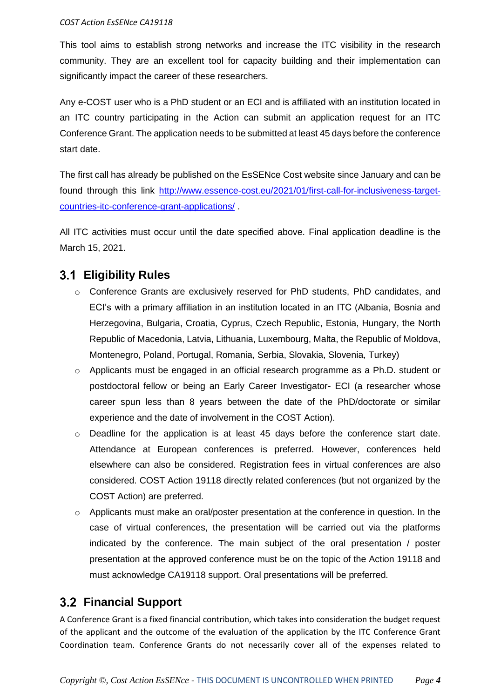#### *COST Action EsSENce CA19118*

This tool aims to establish strong networks and increase the ITC visibility in the research community. They are an excellent tool for capacity building and their implementation can significantly impact the career of these researchers.

Any e-COST user who is a PhD student or an ECI and is affiliated with an institution located in an ITC country participating in the Action can submit an application request for an ITC Conference Grant. The application needs to be submitted at least 45 days before the conference start date.

The first call has already be published on the EsSENce Cost website since January and can be found through this link [http://www.essence-cost.eu/2021/01/first-call-for-inclusiveness-target](http://www.essence-cost.eu/2021/01/first-call-for-inclusiveness-target-countries-itc-conference-grant-applications/)[countries-itc-conference-grant-applications/](http://www.essence-cost.eu/2021/01/first-call-for-inclusiveness-target-countries-itc-conference-grant-applications/) .

All ITC activities must occur until the date specified above. Final application deadline is the March 15, 2021.

#### <span id="page-4-0"></span>**Eligibility Rules**

- o Conference Grants are exclusively reserved for PhD students, PhD candidates, and ECI's with a primary affiliation in an institution located in an ITC (Albania, Bosnia and Herzegovina, Bulgaria, Croatia, Cyprus, Czech Republic, Estonia, Hungary, the North Republic of Macedonia, Latvia, Lithuania, Luxembourg, Malta, the Republic of Moldova, Montenegro, Poland, Portugal, Romania, Serbia, Slovakia, Slovenia, Turkey)
- o Applicants must be engaged in an official research programme as a Ph.D. student or postdoctoral fellow or being an Early Career Investigator- ECI (a researcher whose career spun less than 8 years between the date of the PhD/doctorate or similar experience and the date of involvement in the COST Action).
- o Deadline for the application is at least 45 days before the conference start date. Attendance at European conferences is preferred. However, conferences held elsewhere can also be considered. Registration fees in virtual conferences are also considered. COST Action 19118 directly related conferences (but not organized by the COST Action) are preferred.
- o Applicants must make an oral/poster presentation at the conference in question. In the case of virtual conferences, the presentation will be carried out via the platforms indicated by the conference. The main subject of the oral presentation / poster presentation at the approved conference must be on the topic of the Action 19118 and must acknowledge CA19118 support. Oral presentations will be preferred.

#### <span id="page-4-1"></span>**Financial Support**

A Conference Grant is a fixed financial contribution, which takes into consideration the budget request of the applicant and the outcome of the evaluation of the application by the ITC Conference Grant Coordination team. Conference Grants do not necessarily cover all of the expenses related to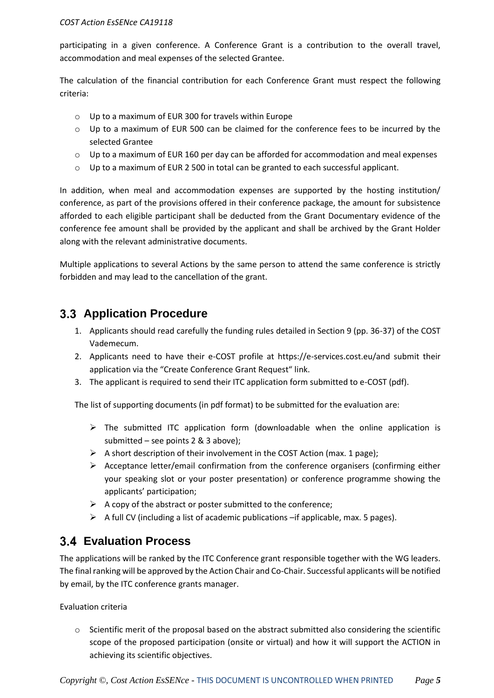participating in a given conference. A Conference Grant is a contribution to the overall travel, accommodation and meal expenses of the selected Grantee.

The calculation of the financial contribution for each Conference Grant must respect the following criteria:

- o Up to a maximum of EUR 300 for travels within Europe
- $\circ$  Up to a maximum of EUR 500 can be claimed for the conference fees to be incurred by the selected Grantee
- $\circ$  Up to a maximum of EUR 160 per day can be afforded for accommodation and meal expenses
- o Up to a maximum of EUR 2 500 in total can be granted to each successful applicant.

In addition, when meal and accommodation expenses are supported by the hosting institution/ conference, as part of the provisions offered in their conference package, the amount for subsistence afforded to each eligible participant shall be deducted from the Grant Documentary evidence of the conference fee amount shall be provided by the applicant and shall be archived by the Grant Holder along with the relevant administrative documents.

Multiple applications to several Actions by the same person to attend the same conference is strictly forbidden and may lead to the cancellation of the grant.

### <span id="page-5-0"></span>**Application Procedure**

- 1. Applicants should read carefully the funding rules detailed in Section 9 (pp. 36-37) of the COST Vademecum.
- 2. Applicants need to have their e-COST profile at https://e-services.cost.eu/and submit their application via the "Create Conference Grant Request" link.
- 3. The applicant is required to send their ITC application form submitted to e-COST (pdf).

The list of supporting documents (in pdf format) to be submitted for the evaluation are:

- $\triangleright$  The submitted ITC application form (downloadable when the online application is submitted – see points 2 & 3 above);
- $\triangleright$  A short description of their involvement in the COST Action (max. 1 page);
- $\triangleright$  Acceptance letter/email confirmation from the conference organisers (confirming either your speaking slot or your poster presentation) or conference programme showing the applicants' participation;
- $\triangleright$  A copy of the abstract or poster submitted to the conference:
- $\triangleright$  A full CV (including a list of academic publications –if applicable, max. 5 pages).

## <span id="page-5-1"></span>**Evaluation Process**

The applications will be ranked by the ITC Conference grant responsible together with the WG leaders. The final ranking will be approved by the Action Chair and Co-Chair. Successful applicants will be notified by email, by the ITC conference grants manager.

Evaluation criteria

o Scientific merit of the proposal based on the abstract submitted also considering the scientific scope of the proposed participation (onsite or virtual) and how it will support the ACTION in achieving its scientific objectives.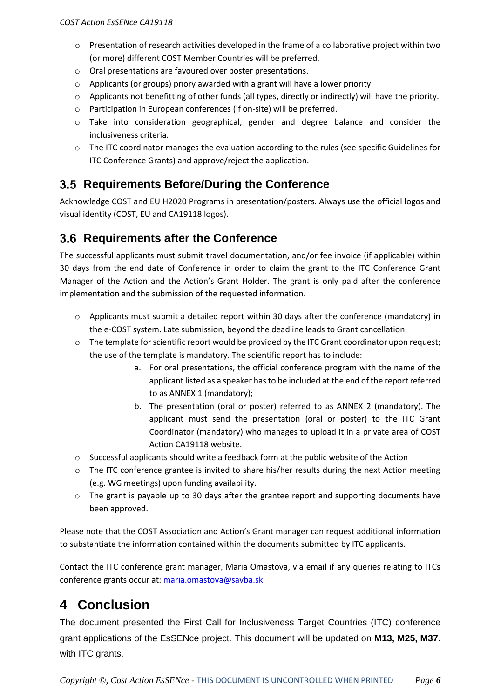- $\circ$  Presentation of research activities developed in the frame of a collaborative project within two (or more) different COST Member Countries will be preferred.
- o Oral presentations are favoured over poster presentations.
- $\circ$  Applicants (or groups) priory awarded with a grant will have a lower priority.
- $\circ$  Applicants not benefitting of other funds (all types, directly or indirectly) will have the priority.
- o Participation in European conferences (if on-site) will be preferred.
- o Take into consideration geographical, gender and degree balance and consider the inclusiveness criteria.
- o The ITC coordinator manages the evaluation according to the rules (see specific Guidelines for ITC Conference Grants) and approve/reject the application.

#### <span id="page-6-0"></span>**Requirements Before/During the Conference**

Acknowledge COST and EU H2020 Programs in presentation/posters. Always use the official logos and visual identity (COST, EU and CA19118 logos).

### <span id="page-6-1"></span>**3.6 Requirements after the Conference**

The successful applicants must submit travel documentation, and/or fee invoice (if applicable) within 30 days from the end date of Conference in order to claim the grant to the ITC Conference Grant Manager of the Action and the Action's Grant Holder. The grant is only paid after the conference implementation and the submission of the requested information.

- $\circ$  Applicants must submit a detailed report within 30 days after the conference (mandatory) in the e-COST system. Late submission, beyond the deadline leads to Grant cancellation.
- o The template for scientific report would be provided by the ITC Grant coordinator upon request; the use of the template is mandatory. The scientific report has to include:
	- a. For oral presentations, the official conference program with the name of the applicant listed as a speaker has to be included at the end of the report referred to as ANNEX 1 (mandatory);
	- b. The presentation (oral or poster) referred to as ANNEX 2 (mandatory). The applicant must send the presentation (oral or poster) to the ITC Grant Coordinator (mandatory) who manages to upload it in a private area of COST Action CA19118 website.
- o Successful applicants should write a feedback form at the public website of the Action
- o The ITC conference grantee is invited to share his/her results during the next Action meeting (e.g. WG meetings) upon funding availability.
- $\circ$  The grant is payable up to 30 days after the grantee report and supporting documents have been approved.

Please note that the COST Association and Action's Grant manager can request additional information to substantiate the information contained within the documents submitted by ITC applicants.

Contact the ITC conference grant manager, Maria Omastova, via email if any queries relating to ITCs conference grants occur at: [maria.omastova@savba.sk](mailto:maria.omastova@savba.sk)

# <span id="page-6-2"></span>**4 Conclusion**

The document presented the First Call for Inclusiveness Target Countries (ITC) conference grant applications of the EsSENce project. This document will be updated on **M13, M25, M37**. with ITC grants.